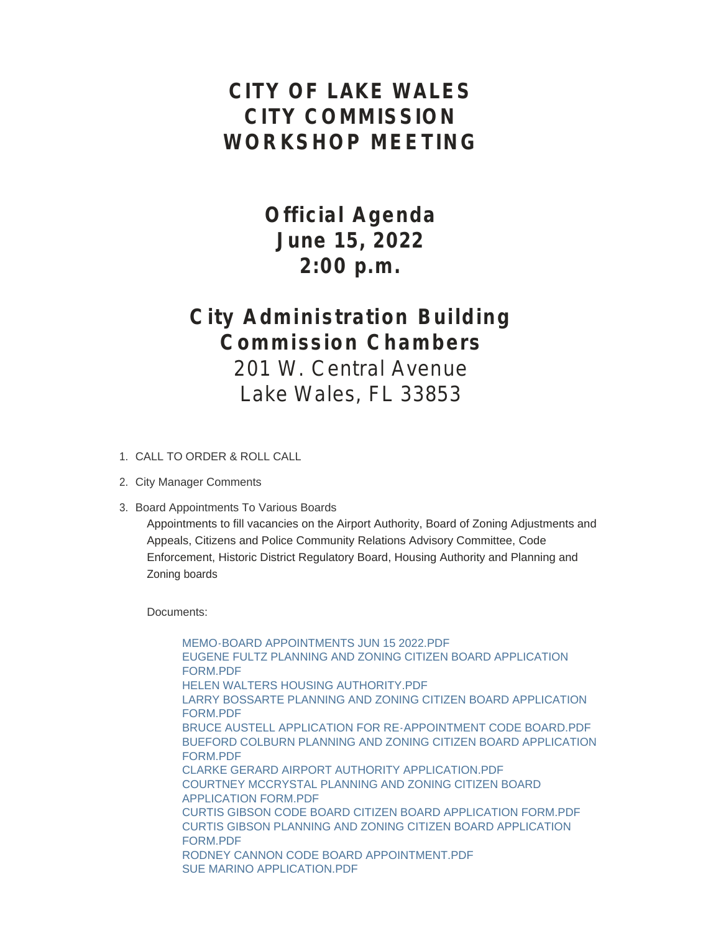# **CITY OF LAKE WALES CITY COMMISSION WORKSHOP MEETING**

**Official Agenda June 15, 2022 2:00 p.m.**

# **City Administration Building Commission Chambers**

201 W. Central Avenue Lake Wales, FL 33853

- CALL TO ORDER & ROLL CALL 1.
- 2. City Manager Comments
- 3. Board Appointments To Various Boards

Appointments to fill vacancies on the Airport Authority, Board of Zoning Adjustments and Appeals, Citizens and Police Community Relations Advisory Committee, Code Enforcement, Historic District Regulatory Board, Housing Authority and Planning and Zoning boards

Documents:

[MEMO-BOARD APPOINTMENTS JUN 15 2022.PDF](https://www.lakewalesfl.gov/AgendaCenter/ViewFile/Item/11288?fileID=13228) [EUGENE FULTZ PLANNING AND ZONING CITIZEN BOARD APPLICATION](https://www.lakewalesfl.gov/AgendaCenter/ViewFile/Item/11288?fileID=13229)  FORM.PDF HELEN WALTERS HOUSING AUTHORITY PDF [LARRY BOSSARTE PLANNING AND ZONING CITIZEN BOARD APPLICATION](https://www.lakewalesfl.gov/AgendaCenter/ViewFile/Item/11288?fileID=13231)  FORM.PDF [BRUCE AUSTELL APPLICATION FOR RE-APPOINTMENT CODE BOARD.PDF](https://www.lakewalesfl.gov/AgendaCenter/ViewFile/Item/11288?fileID=13232) [BUEFORD COLBURN PLANNING AND ZONING CITIZEN BOARD APPLICATION](https://www.lakewalesfl.gov/AgendaCenter/ViewFile/Item/11288?fileID=13233)  FORM.PDF [CLARKE GERARD AIRPORT AUTHORITY APPLICATION.PDF](https://www.lakewalesfl.gov/AgendaCenter/ViewFile/Item/11288?fileID=13234) [COURTNEY MCCRYSTAL PLANNING AND ZONING CITIZEN BOARD](https://www.lakewalesfl.gov/AgendaCenter/ViewFile/Item/11288?fileID=13235)  APPLICATION FORM.PDF [CURTIS GIBSON CODE BOARD CITIZEN BOARD APPLICATION FORM.PDF](https://www.lakewalesfl.gov/AgendaCenter/ViewFile/Item/11288?fileID=13236) [CURTIS GIBSON PLANNING AND ZONING CITIZEN BOARD APPLICATION](https://www.lakewalesfl.gov/AgendaCenter/ViewFile/Item/11288?fileID=13237)  FORM.PDF [RODNEY CANNON CODE BOARD APPOINTMENT.PDF](https://www.lakewalesfl.gov/AgendaCenter/ViewFile/Item/11288?fileID=13238) [SUE MARINO APPLICATION.PDF](https://www.lakewalesfl.gov/AgendaCenter/ViewFile/Item/11288?fileID=13239)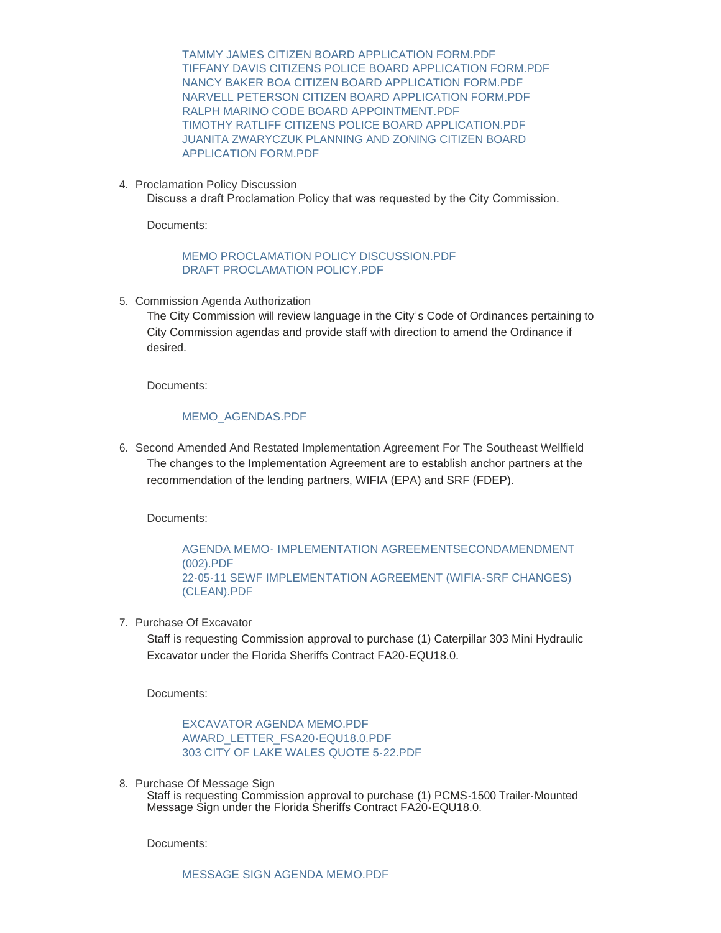[TAMMY JAMES CITIZEN BOARD APPLICATION FORM.PDF](https://www.lakewalesfl.gov/AgendaCenter/ViewFile/Item/11288?fileID=13240) [TIFFANY DAVIS CITIZENS POLICE BOARD APPLICATION FORM.PDF](https://www.lakewalesfl.gov/AgendaCenter/ViewFile/Item/11288?fileID=13241) [NANCY BAKER BOA CITIZEN BOARD APPLICATION FORM.PDF](https://www.lakewalesfl.gov/AgendaCenter/ViewFile/Item/11288?fileID=13242) [NARVELL PETERSON CITIZEN BOARD APPLICATION FORM.PDF](https://www.lakewalesfl.gov/AgendaCenter/ViewFile/Item/11288?fileID=13243) [RALPH MARINO CODE BOARD APPOINTMENT.PDF](https://www.lakewalesfl.gov/AgendaCenter/ViewFile/Item/11288?fileID=13244) [TIMOTHY RATLIFF CITIZENS POLICE BOARD APPLICATION.PDF](https://www.lakewalesfl.gov/AgendaCenter/ViewFile/Item/11288?fileID=13245) [JUANITA ZWARYCZUK PLANNING AND ZONING CITIZEN BOARD](https://www.lakewalesfl.gov/AgendaCenter/ViewFile/Item/11288?fileID=13246)  APPLICATION FORM.PDF

4. Proclamation Policy Discussion

Discuss a draft Proclamation Policy that was requested by the City Commission.

Documents:

### MEMO PROCLAMATION POLICY DISCUSSION PDF [DRAFT PROCLAMATION POLICY.PDF](https://www.lakewalesfl.gov/AgendaCenter/ViewFile/Item/11275?fileID=13208)

5. Commission Agenda Authorization

The City Commission will review language in the City's Code of Ordinances pertaining to City Commission agendas and provide staff with direction to amend the Ordinance if desired.

Documents:

#### [MEMO\\_AGENDAS.PDF](https://www.lakewalesfl.gov/AgendaCenter/ViewFile/Item/11285?fileID=13221)

6. Second Amended And Restated Implementation Agreement For The Southeast Wellfield The changes to the Implementation Agreement are to establish anchor partners at the recommendation of the lending partners, WIFIA (EPA) and SRF (FDEP).

Documents:

AGENDA MEMO- [IMPLEMENTATION AGREEMENTSECONDAMENDMENT](https://www.lakewalesfl.gov/AgendaCenter/ViewFile/Item/11280?fileID=13209)  (002).PDF [22-05-11 SEWF IMPLEMENTATION AGREEMENT \(WIFIA-SRF CHANGES\)](https://www.lakewalesfl.gov/AgendaCenter/ViewFile/Item/11280?fileID=13214) (CLEAN).PDF

7. Purchase Of Excavator

Staff is requesting Commission approval to purchase (1) Caterpillar 303 Mini Hydraulic Excavator under the Florida Sheriffs Contract FA20-EQU18.0.

Documents:

[EXCAVATOR AGENDA MEMO.PDF](https://www.lakewalesfl.gov/AgendaCenter/ViewFile/Item/11269?fileID=13175) [AWARD\\_LETTER\\_FSA20-EQU18.0.PDF](https://www.lakewalesfl.gov/AgendaCenter/ViewFile/Item/11269?fileID=13176) [303 CITY OF LAKE WALES QUOTE 5-22.PDF](https://www.lakewalesfl.gov/AgendaCenter/ViewFile/Item/11269?fileID=13177)

8. Purchase Of Message Sign

Staff is requesting Commission approval to purchase (1) PCMS-1500 Trailer-Mounted Message Sign under the Florida Sheriffs Contract FA20-EQU18.0.

Documents: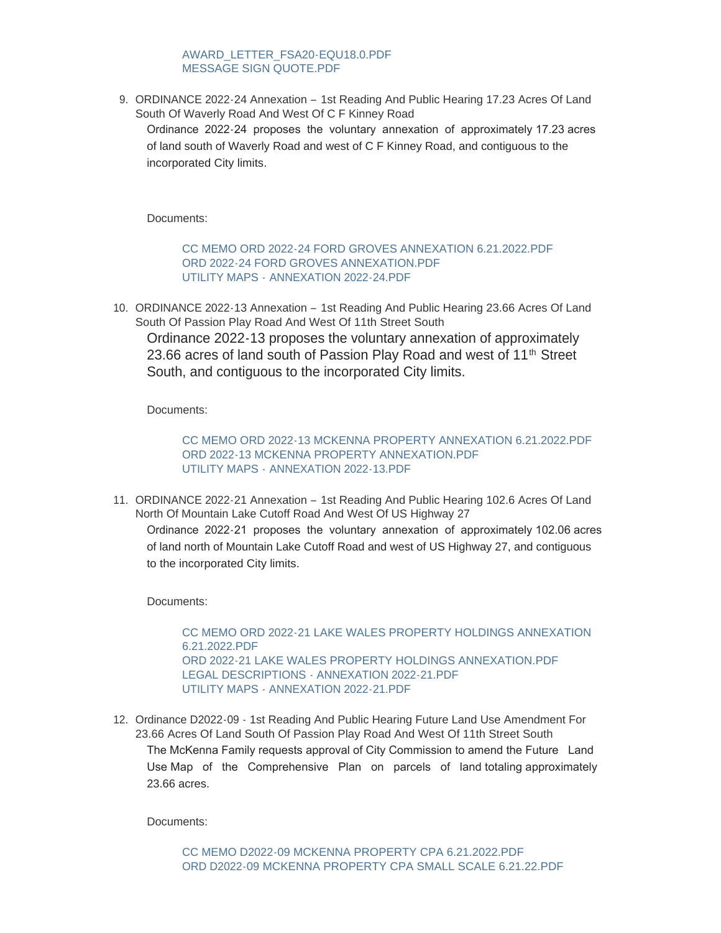# [AWARD\\_LETTER\\_FSA20-EQU18.0.PDF](https://www.lakewalesfl.gov/AgendaCenter/ViewFile/Item/11270?fileID=13179) [MESSAGE SIGN QUOTE.PDF](https://www.lakewalesfl.gov/AgendaCenter/ViewFile/Item/11270?fileID=13180)

9. ORDINANCE 2022-24 Annexation - 1st Reading And Public Hearing 17.23 Acres Of Land South Of Waverly Road And West Of C F Kinney Road Ordinance 2022-24 proposes the voluntary annexation of approximately 17.23 acres of land south of Waverly Road and west of C F Kinney Road, and contiguous to the incorporated City limits.

Documents:

[CC MEMO ORD 2022-24 FORD GROVES ANNEXATION 6.21.2022.PDF](https://www.lakewalesfl.gov/AgendaCenter/ViewFile/Item/11271?fileID=13181) [ORD 2022-24 FORD GROVES ANNEXATION.PDF](https://www.lakewalesfl.gov/AgendaCenter/ViewFile/Item/11271?fileID=13182) UTILITY MAPS - [ANNEXATION 2022-24.PDF](https://www.lakewalesfl.gov/AgendaCenter/ViewFile/Item/11271?fileID=13183)

10. ORDINANCE 2022-13 Annexation - 1st Reading And Public Hearing 23.66 Acres Of Land South Of Passion Play Road And West Of 11th Street South

Ordinance 2022-13 proposes the voluntary annexation of approximately 23.66 acres of land south of Passion Play Road and west of 11<sup>th</sup> Street South, and contiguous to the incorporated City limits.

Documents:

[CC MEMO ORD 2022-13 MCKENNA PROPERTY ANNEXATION 6.21.2022.PDF](https://www.lakewalesfl.gov/AgendaCenter/ViewFile/Item/11276?fileID=13193) [ORD 2022-13 MCKENNA PROPERTY ANNEXATION.PDF](https://www.lakewalesfl.gov/AgendaCenter/ViewFile/Item/11276?fileID=13194) UTILITY MAPS - [ANNEXATION 2022-13.PDF](https://www.lakewalesfl.gov/AgendaCenter/ViewFile/Item/11276?fileID=13195)

11. ORDINANCE 2022-21 Annexation - 1st Reading And Public Hearing 102.6 Acres Of Land North Of Mountain Lake Cutoff Road And West Of US Highway 27 Ordinance 2022-21 proposes the voluntary annexation of approximately 102.06 acres of land north of Mountain Lake Cutoff Road and west of US Highway 27, and contiguous to the incorporated City limits.

Documents:

[CC MEMO ORD 2022-21 LAKE WALES PROPERTY HOLDINGS ANNEXATION](https://www.lakewalesfl.gov/AgendaCenter/ViewFile/Item/11277?fileID=13196)  6.21.2022.PDF [ORD 2022-21 LAKE WALES PROPERTY HOLDINGS ANNEXATION.PDF](https://www.lakewalesfl.gov/AgendaCenter/ViewFile/Item/11277?fileID=13198) [LEGAL DESCRIPTIONS - ANNEXATION 2022-21.PDF](https://www.lakewalesfl.gov/AgendaCenter/ViewFile/Item/11277?fileID=13197) [UTILITY MAPS - ANNEXATION 2022-21.PDF](https://www.lakewalesfl.gov/AgendaCenter/ViewFile/Item/11277?fileID=13199)

12. Ordinance D2022-09 - 1st Reading And Public Hearing Future Land Use Amendment For 23.66 Acres Of Land South Of Passion Play Road And West Of 11th Street South The McKenna Family requests approval of City Commission to amend the Future Land Use Map of the Comprehensive Plan on parcels of land totaling approximately 23.66 acres.

Documents: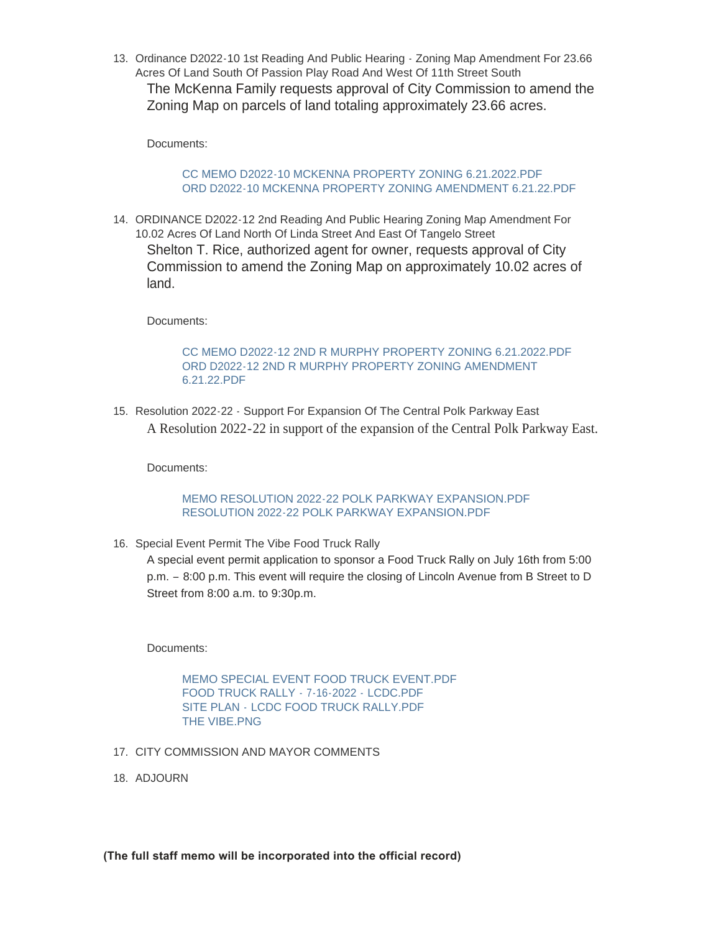13. Ordinance D2022-10 1st Reading And Public Hearing - Zoning Map Amendment For 23.66 Acres Of Land South Of Passion Play Road And West Of 11th Street South The McKenna Family requests approval of City Commission to amend the Zoning Map on parcels of land totaling approximately 23.66 acres.

Documents:

## [CC MEMO D2022-10 MCKENNA PROPERTY ZONING 6.21.2022.PDF](https://www.lakewalesfl.gov/AgendaCenter/ViewFile/Item/11281?fileID=13210) [ORD D2022-10 MCKENNA PROPERTY ZONING AMENDMENT 6.21.22.PDF](https://www.lakewalesfl.gov/AgendaCenter/ViewFile/Item/11281?fileID=13211)

14. ORDINANCE D2022-12 2nd Reading And Public Hearing Zoning Map Amendment For 10.02 Acres Of Land North Of Linda Street And East Of Tangelo Street Shelton T. Rice, authorized agent for owner, requests approval of City Commission to amend the Zoning Map on approximately 10.02 acres of land.

Documents:

# [CC MEMO D2022-12 2ND R MURPHY PROPERTY ZONING 6.21.2022.PDF](https://www.lakewalesfl.gov/AgendaCenter/ViewFile/Item/11273?fileID=13187) [ORD D2022-12 2ND R MURPHY PROPERTY ZONING AMENDMENT](https://www.lakewalesfl.gov/AgendaCenter/ViewFile/Item/11273?fileID=13188)  6.21.22.PDF

15. Resolution 2022-22 - Support For Expansion Of The Central Polk Parkway East A Resolution 2022-22 in support of the expansion of the Central Polk Parkway East.

Documents:

# [MEMO RESOLUTION 2022-22 POLK PARKWAY EXPANSION.PDF](https://www.lakewalesfl.gov/AgendaCenter/ViewFile/Item/11257?fileID=13171) [RESOLUTION 2022-22 POLK PARKWAY EXPANSION.PDF](https://www.lakewalesfl.gov/AgendaCenter/ViewFile/Item/11257?fileID=13172)

16. Special Event Permit The Vibe Food Truck Rally

A special event permit application to sponsor a Food Truck Rally on July 16th from 5:00 p.m. – 8:00 p.m. This event will require the closing of Lincoln Avenue from B Street to D Street from 8:00 a.m. to 9:30p.m.

Documents:

[MEMO SPECIAL EVENT FOOD TRUCK EVENT.PDF](https://www.lakewalesfl.gov/AgendaCenter/ViewFile/Item/11287?fileID=13224) [FOOD TRUCK RALLY -](https://www.lakewalesfl.gov/AgendaCenter/ViewFile/Item/11287?fileID=13225) 7-16-2022 - LCDC.PDF SITE PLAN - [LCDC FOOD TRUCK RALLY.PDF](https://www.lakewalesfl.gov/AgendaCenter/ViewFile/Item/11287?fileID=13226) [THE VIBE.PNG](https://www.lakewalesfl.gov/AgendaCenter/ViewFile/Item/11287?fileID=13227)

- 17. CITY COMMISSION AND MAYOR COMMENTS
- 18. ADJOURN